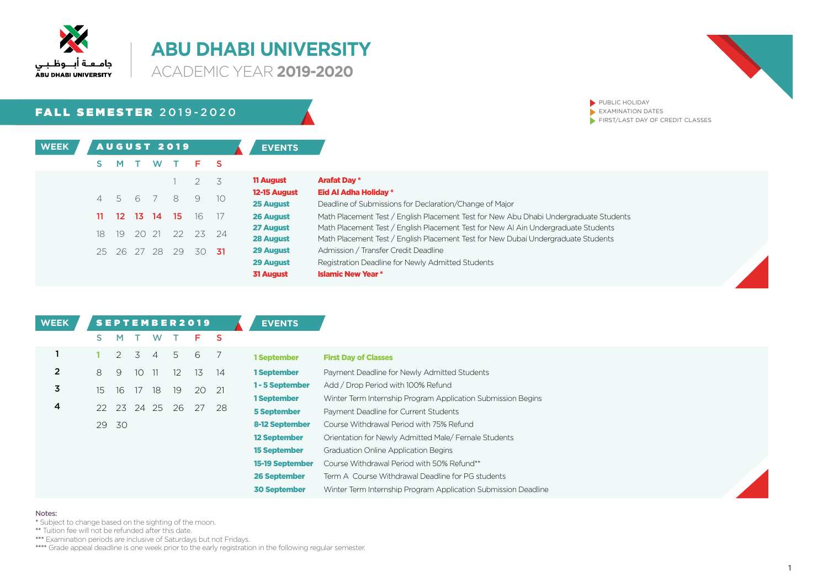

**ACADEMIC YEAR 2019-2020** 

## **FALL SEMESTER 2019-2020**

| <b>WEEK</b> |    |                 |       |                | <b>AUGUST 2019</b> |          |      | <b>EVENTS</b>                 |                                     |
|-------------|----|-----------------|-------|----------------|--------------------|----------|------|-------------------------------|-------------------------------------|
|             | s  | M               |       | <b>W</b>       | $\top$             | F.       | - S  |                               |                                     |
|             |    |                 |       |                |                    | 2        | 3    | <b>11 August</b>              | <b>Arafat Day *</b>                 |
|             | 4  | 5 6             |       | $\overline{7}$ | - 8                | 9        | 10   | 12-15 August<br>25 August     | <b>Eid Al Adha</b><br>Deadline of 9 |
|             | 11 | 12 <sup>2</sup> | 13    | - 14           | 15                 | 16       | 17   | 26 August                     | Math Placem                         |
|             | 18 | 19              | 20 21 |                |                    | 22 23 24 |      | 27 August<br><b>28 August</b> | Math Placem<br>Math Placem          |
|             |    | 25 26 27 28     |       |                | 29                 | 30       | - 31 | 29 August                     | Admission /                         |
|             |    |                 |       |                |                    |          |      | 29 August                     | Registration                        |
|             |    |                 |       |                |                    |          |      | <b>31 August</b>              | <b>Islamic New</b>                  |

| 11 August        | <b>Arafat Day *</b>                                                                   |
|------------------|---------------------------------------------------------------------------------------|
| 12-15 August     | Eid Al Adha Holiday *                                                                 |
| 25 August        | Deadline of Submissions for Declaration/Change of Major                               |
| 26 August        | Math Placement Test / English Placement Test for New Abu Dhabi Undergraduate Students |
| 27 August        | Math Placement Test / English Placement Test for New AI Ain Undergraduate Students    |
| 28 August        | Math Placement Test / English Placement Test for New Dubai Undergraduate Students     |
| 29 August        | Admission / Transfer Credit Deadline                                                  |
| 29 August        | Registration Deadline for Newly Admitted Students                                     |
| <b>31 August</b> | <b>Islamic New Year *</b>                                                             |

PUBLIC HOLIDAY  $\blacktriangleright$  EXAMINATION DATES

 $\blacktriangleright$  FIRST/LAST DAY OF CREDIT CLASSES

| <b>WEEK</b>    |    |                |                |                |    | <b>SEPTEMBER2019</b> |     | <b>EVENTS</b>          |                                                                |
|----------------|----|----------------|----------------|----------------|----|----------------------|-----|------------------------|----------------------------------------------------------------|
|                | S. | M.             |                | W              |    | F                    | -S  |                        |                                                                |
|                |    | $\overline{2}$ | $\overline{3}$ | $\overline{4}$ | 5  | 6                    | - 7 | 1 September            | <b>First Day of Classes</b>                                    |
| $\overline{2}$ | 8  | 9              | 10             | -11            | 12 | 13                   | 14  | 1 September            | Payment Deadline for Newly Admitted Students                   |
| 3              | 15 | 16             | 17             | 18             | 19 | 20 21                |     | 1 - 5 September        | Add / Drop Period with 100% Refund                             |
|                |    |                |                |                |    |                      |     | 1 September            | Winter Term Internship Program Application Submission Begins   |
| 4              |    | 22 23          |                | 24 25          | 26 | 27                   | 28  | <b>5 September</b>     | Payment Deadline for Current Students                          |
|                |    | 29 30          |                |                |    |                      |     | 8-12 September         | Course Withdrawal Period with 75% Refund                       |
|                |    |                |                |                |    |                      |     | <b>12 September</b>    | Orientation for Newly Admitted Male/ Female Students           |
|                |    |                |                |                |    |                      |     | <b>15 September</b>    | <b>Graduation Online Application Begins</b>                    |
|                |    |                |                |                |    |                      |     | <b>15-19 September</b> | Course Withdrawal Period with 50% Refund**                     |
|                |    |                |                |                |    |                      |     | <b>26 September</b>    | Term A Course Withdrawal Deadline for PG students              |
|                |    |                |                |                |    |                      |     | <b>30 September</b>    | Winter Term Internship Program Application Submission Deadline |

#### Notes:

\* Subject to change based on the sighting of the moon.

\*\* Tuition fee will not be refunded after this date.

\*\*\*\* Examination periods are inclusive of Saturdays but not Fridays.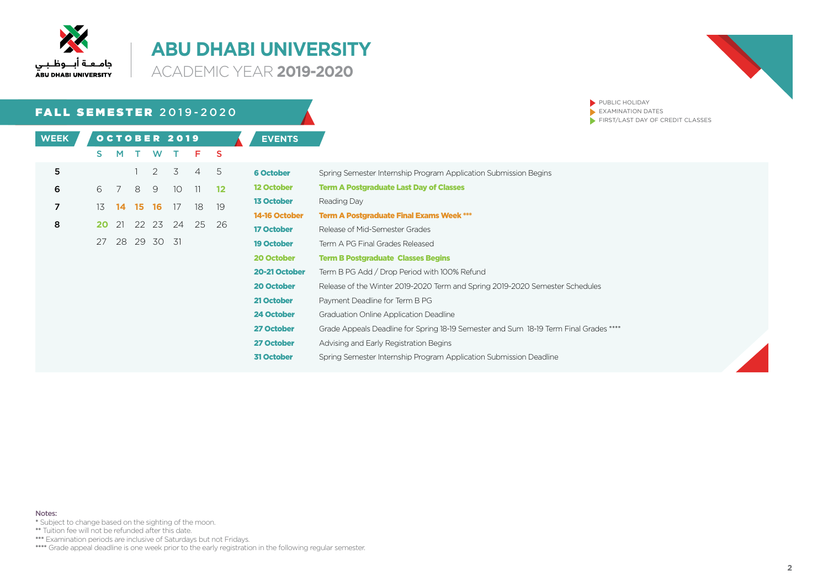

**ACADEMIC YEAR 2019-2020** 



| <b>FALL SEMESTER 2019-2020</b> |    |    |             |          |                 |                |          |                   | PUBLIC HOLIDAY<br>EXAMINATION DATES                                                   |
|--------------------------------|----|----|-------------|----------|-----------------|----------------|----------|-------------------|---------------------------------------------------------------------------------------|
|                                |    |    |             |          |                 |                |          |                   | FIRST/LAST DAY OF CREDIT CLASSES                                                      |
| <b>WEEK</b>                    |    |    |             |          | OCTOBER 2019    |                |          | <b>EVENTS</b>     |                                                                                       |
|                                | S. | M  | $\top$      | <b>W</b> | $\top$          | F.             | <b>S</b> |                   |                                                                                       |
| 5                              |    |    |             | 2        | 3               | $\overline{4}$ | 5        | <b>6 October</b>  | Spring Semester Internship Program Application Submission Begins                      |
| 6                              | 6  | 7  | 8           | -9       | 10 <sup>°</sup> | 11             | $12 \,$  | <b>12 October</b> | <b>Term A Postgraduate Last Day of Classes</b>                                        |
| $\overline{7}$                 | 13 | 14 | -15.        | -16      | -17             | 18             | 19       | <b>13 October</b> | Reading Day                                                                           |
|                                |    |    |             |          |                 |                |          | 14-16 October     | <b>Term A Postgraduate Final Exams Week ***</b>                                       |
| 8                              | 20 | 21 |             |          | 22 23 24        | 25             | 26       | <b>17 October</b> | Release of Mid-Semester Grades                                                        |
|                                | 27 |    | 28 29 30 31 |          |                 |                |          | <b>19 October</b> | Term A PG Final Grades Released                                                       |
|                                |    |    |             |          |                 |                |          | 20 October        | <b>Term B Postgraduate Classes Begins</b>                                             |
|                                |    |    |             |          |                 |                |          | 20-21 October     | Term B PG Add / Drop Period with 100% Refund                                          |
|                                |    |    |             |          |                 |                |          | 20 October        | Release of the Winter 2019-2020 Term and Spring 2019-2020 Semester Schedules          |
|                                |    |    |             |          |                 |                |          | 21 October        | Payment Deadline for Term B PG                                                        |
|                                |    |    |             |          |                 |                |          | 24 October        | <b>Graduation Online Application Deadline</b>                                         |
|                                |    |    |             |          |                 |                |          | 27 October        | Grade Appeals Deadline for Spring 18-19 Semester and Sum 18-19 Term Final Grades **** |
|                                |    |    |             |          |                 |                |          | 27 October        | Advising and Early Registration Begins                                                |
|                                |    |    |             |          |                 |                |          | <b>31 October</b> | Spring Semester Internship Program Application Submission Deadline                    |

Notes:

\* Subject to change based on the sighting of the moon.

\*\* Tuition fee will not be refunded after this date.

\*\*\*\* Examination periods are inclusive of Saturdays but not Fridays.

**EXEMPRESTER FOLLOWING THE IN REGISTIVE OF EXECUTIVE APPEAR FOR THE INCORDING THE ISLAM FOR THE ISLAM FOR THE I**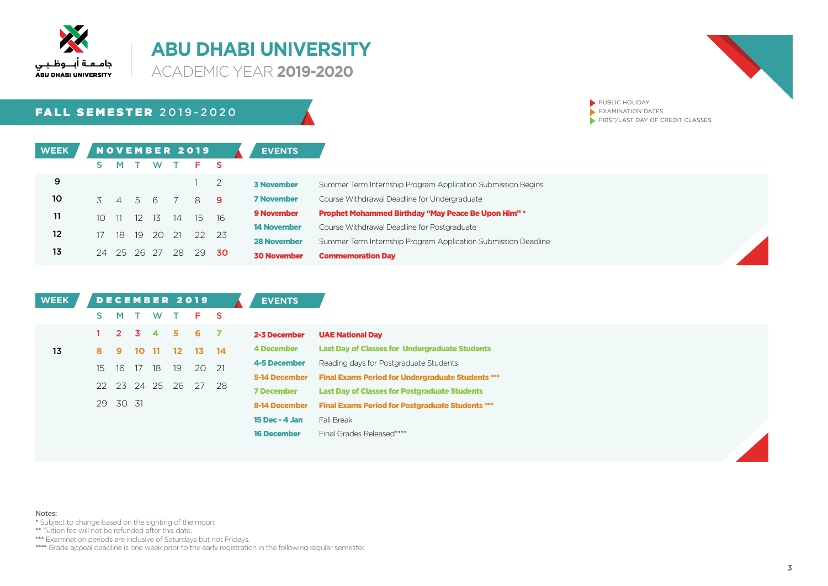

**ACADEMIC YEAR 2019-2020** 

## **FALL SEMESTER 2019-2020**



PUBLIC HOLIDAY  $\blacktriangleright$  EXAMINATION DATES  $\blacktriangleright$  FIRST/LAST DAY OF CREDIT CLASSES

| <b>WEEK</b>     |                |                |       |       |     | <b>NOVEMBER 2019</b> |                | <b>EVENTS</b>      |                                                                |
|-----------------|----------------|----------------|-------|-------|-----|----------------------|----------------|--------------------|----------------------------------------------------------------|
|                 |                |                |       | W     |     | F.                   |                |                    |                                                                |
| 9               |                |                |       |       |     |                      | $\overline{2}$ | <b>3 November</b>  | Summer Term Internship Program Application Submission Begins   |
| 10 <sub>o</sub> | $\overline{5}$ | $\sim$ 4       |       | 5 6   |     | 8                    | - 9            | <b>7 November</b>  | Course Withdrawal Deadline for Undergraduate                   |
| 11              | $10-1$         | $\frac{11}{2}$ | 12 13 |       | 14  | 15 16                |                | <b>9 November</b>  | <b>Prophet Mohammed Birthday "May Peace Be Upon Him" *</b>     |
| 12 <sup>°</sup> | 17             | 18             |       | 19 20 | -21 | 22 23                |                | <b>14 November</b> | Course Withdrawal Deadline for Postgraduate                    |
|                 |                |                |       |       |     |                      |                | <b>28 November</b> | Summer Term Internship Program Application Submission Deadline |
| 13              | 24             | 25 26 27       |       |       | 28  | 29                   | - 30           | <b>30 November</b> | <b>Commemoration Day</b>                                       |

| <b>WEEK</b> |    |                     |    |             |         | DECEMBER 2019   |             | <b>EVENTS</b>         |                                                          |
|-------------|----|---------------------|----|-------------|---------|-----------------|-------------|-----------------------|----------------------------------------------------------|
|             | S. | M                   |    | W           |         | F.              | - S         |                       |                                                          |
|             |    | $2 \quad 3 \quad 4$ |    |             | 5.      | 6.              | - 7         | 2-3 December          | <b>UAE National Day</b>                                  |
| 13          | 8  | 9                   | 10 | 11          | $12 \,$ | 13 <sup>7</sup> | $\sqrt{14}$ | 4 December            | <b>Last Day of Classes for Undergraduate Students</b>    |
|             | 15 | 16                  | 17 | 18          | 19      | 20 21           |             | 4-5 December          | Reading days for Postgraduate Students                   |
|             |    |                     |    |             |         |                 |             | 5-14 December         | <b>Final Exams Period for Undergraduate Students ***</b> |
|             |    |                     |    | 22 23 24 25 | - 26    | 27 28           |             | <b>7 December</b>     | <b>Last Day of Classes for Postgraduate Students</b>     |
|             |    | 29 30 31            |    |             |         |                 |             | 8-14 December         | <b>Final Exams Period for Postgraduate Students ***</b>  |
|             |    |                     |    |             |         |                 |             | <b>15 Dec - 4 Jan</b> | Fall Break                                               |
|             |    |                     |    |             |         |                 |             | <b>16 December</b>    | Final Grades Released****                                |

Notes:

- \* Subject to change based on the sighting of the moon.
- \*\* Tuition fee will not be refunded after this date.

\*\*\*\* Examination periods are inclusive of Saturdays but not Fridays.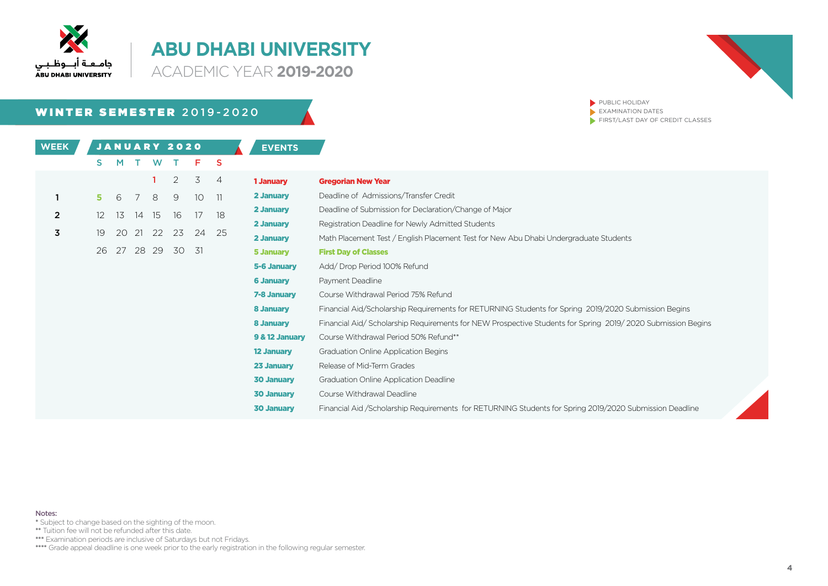

**ACADEMIC YEAR 2019-2020** 

## WINTER SEMESTER 2019-2020

**EVENTS WEEK** 2020 JANUARY

PUBLIC HOLIDAY  $\blacktriangleright$  EXAMINATION DATES  $\blacktriangleright$  FIRST/LAST DAY OF CREDIT CLASSES

|   | S.  | M   |    | <b>W</b> |       | F.              | -S             |                   |                                                                                                            |
|---|-----|-----|----|----------|-------|-----------------|----------------|-------------------|------------------------------------------------------------------------------------------------------------|
|   |     |     |    |          | 2     | 3               | $\overline{4}$ | 1 January         | <b>Gregorian New Year</b>                                                                                  |
|   | 5.  | - 6 | 7  | 8        | 9     | 10 <sup>°</sup> | 11             | 2 January         | Deadline of Admissions/Transfer Credit                                                                     |
| 2 | 12. | 13  | 14 | 15       | 16    | 17              | 18             | 2 January         | Deadline of Submission for Declaration/Change of Major                                                     |
|   |     |     |    |          |       |                 |                | 2 January         | Registration Deadline for Newly Admitted Students                                                          |
| 3 | 19  | 20  | 21 | 22       | 23    | 24              | -25            | 2 January         | Math Placement Test / English Placement Test for New Abu Dhabi Undergraduate Students                      |
|   | 26  | 27  |    | 28 29    | 30 31 |                 |                | 5 January         | <b>First Day of Classes</b>                                                                                |
|   |     |     |    |          |       |                 |                | 5-6 January       | Add/Drop Period 100% Refund                                                                                |
|   |     |     |    |          |       |                 |                | <b>6 January</b>  | Payment Deadline                                                                                           |
|   |     |     |    |          |       |                 |                | 7-8 January       | Course Withdrawal Period 75% Refund                                                                        |
|   |     |     |    |          |       |                 |                | 8 January         | Financial Aid/Scholarship Requirements for RETURNING Students for Spring 2019/2020 Submission Begins       |
|   |     |     |    |          |       |                 |                | 8 January         | Financial Aid/Scholarship Requirements for NEW Prospective Students for Spring 2019/2020 Submission Begins |
|   |     |     |    |          |       |                 |                | 9 & 12 January    | Course Withdrawal Period 50% Refund**                                                                      |
|   |     |     |    |          |       |                 |                | <b>12 January</b> | Graduation Online Application Begins                                                                       |
|   |     |     |    |          |       |                 |                | 23 January        | Release of Mid-Term Grades                                                                                 |
|   |     |     |    |          |       |                 |                | <b>30 January</b> | Graduation Online Application Deadline                                                                     |
|   |     |     |    |          |       |                 |                | <b>30 January</b> | Course Withdrawal Deadline                                                                                 |
|   |     |     |    |          |       |                 |                | <b>30 January</b> | Financial Aid / Scholarship Requirements for RETURNING Students for Spring 2019/2020 Submission Deadline   |

Notes:

\* Subject to change based on the sighting of the moon.

\*\* Tuition fee will not be refunded after this date.

\*\*\*\* Examination periods are inclusive of Saturdays but not Fridays.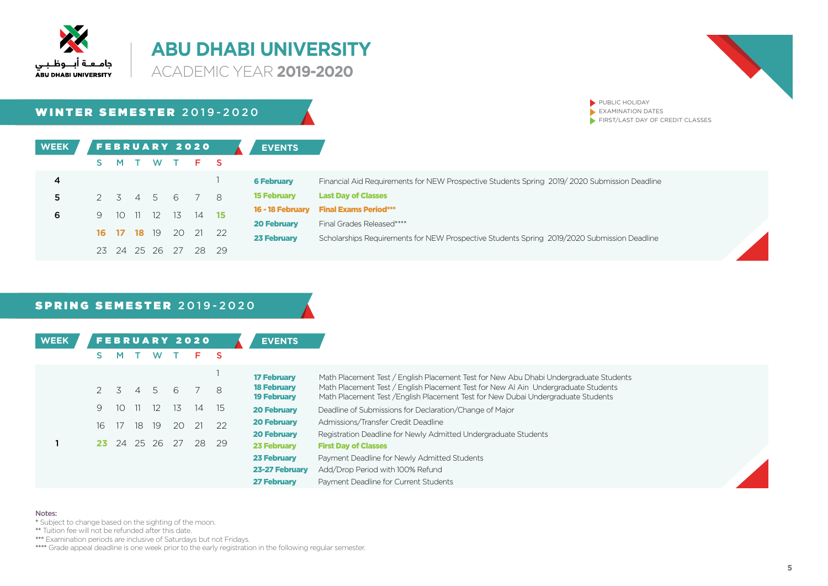

**ACADEMIC YEAR 2019-2020** 



PUBLIC HOLIDAY  $\blacktriangleright$  EXAMINATION DATES

 $\blacktriangleright$  FIRST/LAST DAY OF CREDIT CLASSES

WINTER SEMESTER 2019-2020

| <b>WEEK</b> |    |                    |                   |      | <b>FEBRUARY 2020</b> |    | <b>EVENTS</b>      |                                                                                              |
|-------------|----|--------------------|-------------------|------|----------------------|----|--------------------|----------------------------------------------------------------------------------------------|
|             |    |                    |                   |      | MTWTFS               |    |                    |                                                                                              |
| 4           |    |                    |                   |      |                      |    | <b>6 February</b>  | Financial Aid Requirements for NEW Prospective Students Spring 2019/2020 Submission Deadline |
| 5.          |    |                    |                   |      | 2 3 4 5 6 7 8        |    | <b>15 February</b> | <b>Last Day of Classes</b>                                                                   |
| 6           | 9. | 10 11              | $12 \overline{ }$ | - 13 | 14 15                |    | 16 - 18 February   | <b>Final Exams Period***</b>                                                                 |
|             |    |                    |                   |      |                      |    | <b>20 February</b> | Final Grades Released****                                                                    |
|             |    | <b>16 17 18</b> 19 |                   | - 20 | 21 22                |    | <b>23 February</b> | Scholarships Requirements for NEW Prospective Students Spring 2019/2020 Submission Deadline  |
|             | 23 | 24 25 26           |                   | - 27 | 28.                  | 29 |                    |                                                                                              |

#### SPRING SEMESTER 2019-2020

| <b>WEEK</b> |     | м           |          |          |     | <b>FEBRUARY 2020</b> |    | <b>EVENTS</b>                            |                                                                                                                                                                         |
|-------------|-----|-------------|----------|----------|-----|----------------------|----|------------------------------------------|-------------------------------------------------------------------------------------------------------------------------------------------------------------------------|
|             |     |             |          |          |     |                      |    | <b>17 February</b>                       | Math Placement Test / English Placement Test for New Abu Dhabi Undergraduate Students                                                                                   |
|             |     | $2 \quad 3$ | $\sim$ 4 | -5       | 6   |                      | 8  | <b>18 February</b><br><b>19 February</b> | Math Placement Test / English Placement Test for New AI Ain Undergraduate Students<br>Math Placement Test / English Placement Test for New Dubai Undergraduate Students |
|             | 9   | 10.         | TL.      | 12       | -13 | 14                   | 15 | <b>20 February</b>                       | Deadline of Submissions for Declaration/Change of Major                                                                                                                 |
|             | 16  | 17          | 18       | -19      | 20  | 21                   | 22 | <b>20 February</b>                       | Admissions/Transfer Credit Deadline                                                                                                                                     |
|             |     |             |          |          |     |                      |    | <b>20 February</b>                       | Registration Deadline for Newly Admitted Undergraduate Students                                                                                                         |
|             | 23. | 24          |          | 25 26 27 |     | 28                   | 29 | <b>23 February</b>                       | <b>First Day of Classes</b>                                                                                                                                             |
|             |     |             |          |          |     |                      |    | <b>23 February</b>                       | Payment Deadline for Newly Admitted Students                                                                                                                            |
|             |     |             |          |          |     |                      |    | 23-27 February                           | Add/Drop Period with 100% Refund                                                                                                                                        |
|             |     |             |          |          |     |                      |    | <b>27 February</b>                       | Payment Deadline for Current Students                                                                                                                                   |

#### Notes:

- \* Subject to change based on the sighting of the moon.
- \*\* Tuition fee will not be refunded after this date.
- **EXAMINATION DESCRIPTION ARE INCLUSIVE ARE PERIODE AT A THE SATURAL PROPERTY.**
- \*\*\*\* Grade appeal deadline is one week prior to the early registration in the following regular semester.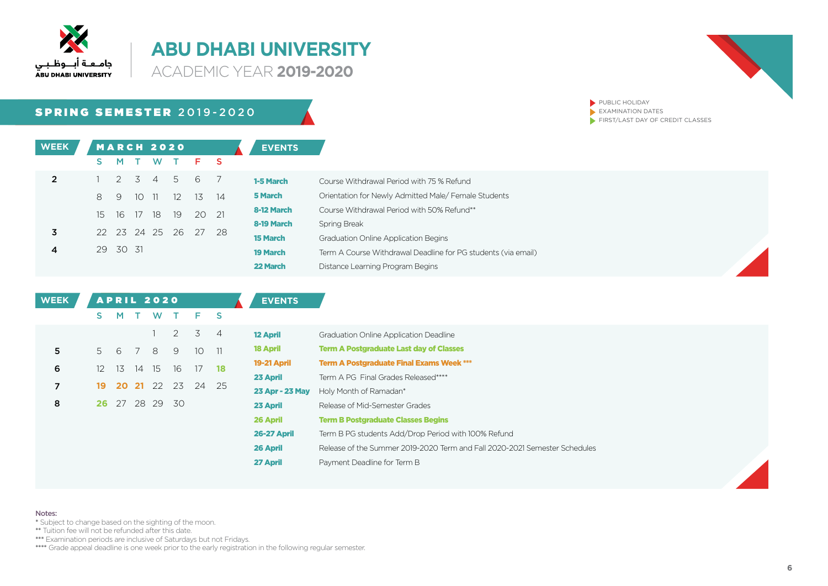

22 March

**ACADEMIC YEAR 2019-2020** 

## SPRING SEMESTER 2019-2020

| <b>WEEK</b>    |    |        |      | <b>MARCH 2020</b> |                   |                |                | <b>EVENTS</b>                 |
|----------------|----|--------|------|-------------------|-------------------|----------------|----------------|-------------------------------|
|                | s  | M      | Τ.   | W                 |                   | T F            | - S            |                               |
| $\overline{2}$ |    |        |      |                   | 2 3 4 5           | -6             | $\overline{7}$ | 1-5 March                     |
|                | 8  | 9      | 1011 |                   | $\frac{12}{2}$    | 13             | -14            | 5 March                       |
|                | 15 | -16    |      |                   |                   | 17 18 19 20 21 |                | 8-12 March                    |
| 3              |    |        |      |                   | 22 23 24 25 26 27 |                | -28            | 8-19 March<br><b>15 March</b> |
|                | 29 | -30-31 |      |                   |                   |                |                | <b>19 March</b>               |

| 1-5 March       | Course Withdrawal Period with 75 % Refund                     |
|-----------------|---------------------------------------------------------------|
| <b>5 March</b>  | Orientation for Newly Admitted Male/Female Students           |
| 8-12 March      | Course Withdrawal Period with 50% Refund**                    |
| 8-19 March      | Spring Break                                                  |
| <b>15 March</b> | <b>Graduation Online Application Begins</b>                   |
| <b>19 March</b> | Term A Course Withdrawal Deadline for PG students (via email) |
| 22 March        | Distance Learning Program Begins                              |
|                 |                                                               |



PUBLIC HOLIDAY  $\blacktriangleright$  EXAMINATION DATES  $\blacktriangleright$  FIRST/LAST DAY OF CREDIT CLASSES

| <b>WEEK</b> |    |       |    | <b>APRIL 2020</b> |      |                 |                 | <b>EVENTS</b>      |                                                                            |
|-------------|----|-------|----|-------------------|------|-----------------|-----------------|--------------------|----------------------------------------------------------------------------|
|             | S. | M     |    | W                 |      | F.              | -S              |                    |                                                                            |
|             |    |       |    |                   | 2    | 3               | $\overline{4}$  | <b>12 April</b>    | <b>Graduation Online Application Deadline</b>                              |
| 5.          | 5. | -6    |    | 8                 | 9    | 10 <sup>°</sup> | $\overline{11}$ | <b>18 April</b>    | <b>Term A Postgraduate Last day of Classes</b>                             |
| 6           | 12 | 13    | 14 | 15                | 16   | 17              | 18              | 19-21 April        | <b>Term A Postgraduate Final Exams Week ***</b>                            |
|             |    |       |    |                   |      |                 |                 | 23 April           | Term A PG Final Grades Released****                                        |
| 7           | 19 | 20 21 |    | - 22              | 23   | 24              | - 25            | 23 Apr - 23 May    | Holy Month of Ramadan*                                                     |
| 8           | 26 |       |    | 27 28 29          | - 30 |                 |                 | 23 April           | Release of Mid-Semester Grades                                             |
|             |    |       |    |                   |      |                 |                 | 26 April           | <b>Term B Postgraduate Classes Begins</b>                                  |
|             |    |       |    |                   |      |                 |                 | <b>26-27 April</b> | Term B PG students Add/Drop Period with 100% Refund                        |
|             |    |       |    |                   |      |                 |                 | 26 April           | Release of the Summer 2019-2020 Term and Fall 2020-2021 Semester Schedules |
|             |    |       |    |                   |      |                 |                 | 27 April           | Payment Deadline for Term B                                                |

#### Notes:

- \* Subject to change based on the sighting of the moon.
- \*\* Tuition fee will not be refunded after this date.

\*\*\*\* Examination periods are inclusive of Saturdays but not Fridays.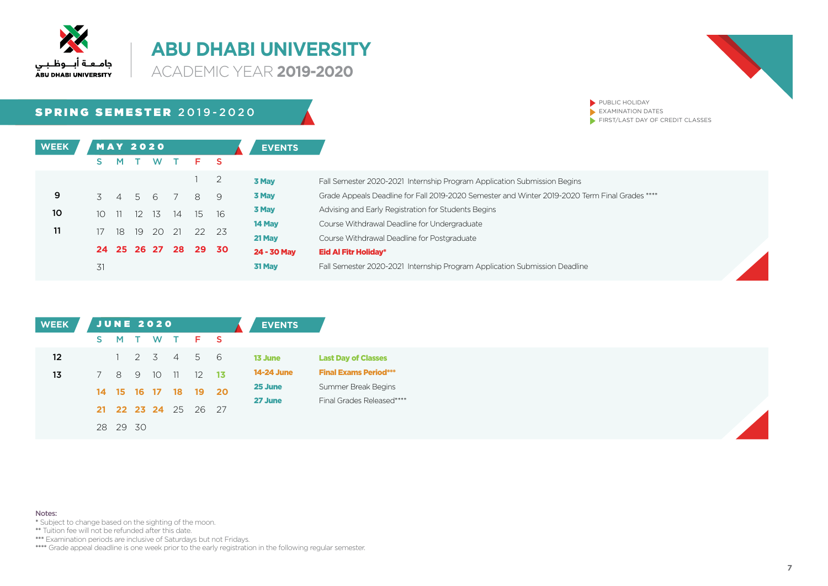

**ACADEMIC YEAR 2019-2020** 



PUBLIC HOLIDAY  $\blacktriangleright$  EXAMINATION DATES

 $\blacktriangleright$  FIRST/LAST DAY OF CREDIT CLASSES

SPRING SEMESTER 2019-2020

| <b>WEEK</b> |                 |               | <b>MAY 2020</b> |                |                |       | <b>EVENTS</b> |                                                                                                |
|-------------|-----------------|---------------|-----------------|----------------|----------------|-------|---------------|------------------------------------------------------------------------------------------------|
|             |                 | м             | <b>W</b>        |                | F.             |       |               |                                                                                                |
|             |                 |               |                 |                |                |       | 3 May         | Fall Semester 2020-2021 Internship Program Application Submission Begins                       |
| 9           |                 | 3 4 5 6       |                 |                | 8              | -9    | 3 May         | Grade Appeals Deadline for Fall 2019-2020 Semester and Winter 2019-2020 Term Final Grades **** |
| 10          |                 | $10 \quad 11$ | 12 13           | 14             |                | 15 16 | 3 May         | Advising and Early Registration for Students Begins                                            |
|             |                 |               |                 |                |                |       | 14 May        | Course Withdrawal Deadline for Undergraduate                                                   |
| 11          | 17 <sup>7</sup> | 18            |                 |                | 19 20 21 22 23 |       | 21 May        | Course Withdrawal Deadline for Postgraduate                                                    |
|             |                 |               |                 | 24 25 26 27 28 |                | 29 30 | 24 - 30 May   | <b>Eid Al Fitr Holiday*</b>                                                                    |
|             | 31              |               |                 |                |                |       | 31 May        | Fall Semester 2020-2021 Internship Program Application Submission Deadline                     |

| <b>WEEK</b>     |    |          |   | JUNE 2020 |      |                      |                      | <b>EVENTS</b>     |
|-----------------|----|----------|---|-----------|------|----------------------|----------------------|-------------------|
|                 | S. |          |   |           |      | M T W T F S          |                      |                   |
| 12 <sup>2</sup> |    |          |   | 2 3 4     |      | 5 6                  |                      | 13 June           |
| 13 <sub>1</sub> |    | 8        | 9 | 10        | - 11 |                      | $12 \quad 13$        | <b>14-24 June</b> |
|                 |    |          |   |           |      |                      | 14 15 16 17 18 19 20 | 25 June           |
|                 |    |          |   |           |      | 21 22 23 24 25 26 27 |                      | 27 June           |
|                 |    | 28 29 30 |   |           |      |                      |                      |                   |
|                 |    |          |   |           |      |                      |                      |                   |

Notes:

\* Subject to change based on the sighting of the moon.

\*\* Tuition fee will not be refunded after this date.

\*\*\*\* Examination periods are inclusive of Saturdays but not Fridays.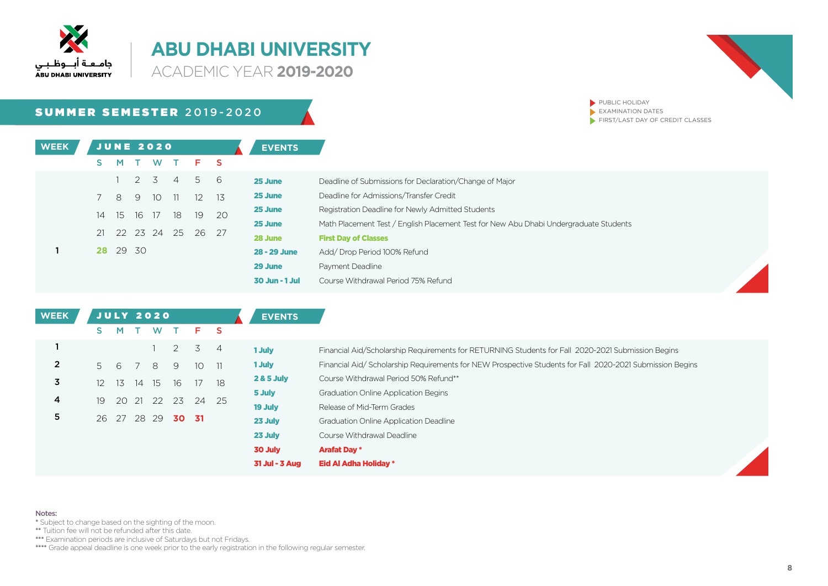

**ACADEMIC YEAR 2019-2020** 



PUBLIC HOLIDAY  $\blacktriangleright$  EXAMINATION DATES

 $\blacktriangleright$  FIRST/LAST DAY OF CREDIT CLASSES

SUMMER SEMESTER 2019-2020

| <b>WEEK</b> |    |           |    | JUNE 2020   |               |                      |     | <b>EVENTS</b>      |
|-------------|----|-----------|----|-------------|---------------|----------------------|-----|--------------------|
|             | s  | M         |    |             |               | T W T F S            |     |                    |
|             |    | $1 \quad$ |    |             |               | 2 3 4 5 6            |     | 25 June            |
|             | 7  |           | 89 |             | $10 \quad 11$ | 12                   | -13 | 25 June            |
|             | 14 |           |    | 15 16 17 18 |               | 19                   | 20  | 25 June            |
|             |    |           |    |             |               | 21 22 23 24 25 26 27 |     | 25 June<br>28 June |
|             |    | 28 29 30  |    |             |               |                      |     | 28 - 29 June       |
|             |    |           |    |             |               |                      |     | 29 June            |

| 25 June        | Deadline of Submissions for Declaration/Change of Major                               |
|----------------|---------------------------------------------------------------------------------------|
| 25 June        | Deadline for Admissions/Transfer Credit                                               |
| 25 June        | Registration Deadline for Newly Admitted Students                                     |
| 25 June        | Math Placement Test / English Placement Test for New Abu Dhabi Undergraduate Students |
| 28 June        | <b>First Day of Classes</b>                                                           |
| 28 - 29 June   | Add/Drop Period 100% Refund                                                           |
| 29 June        | Payment Deadline                                                                      |
| 30 Jun - 1 Jul | Course Withdrawal Period 75% Refund                                                   |



| <b>WEEK</b> |    |    |    | <b>JULY 2020</b> |                |                 |                | <b>EVENTS</b>         |                                                                                                          |
|-------------|----|----|----|------------------|----------------|-----------------|----------------|-----------------------|----------------------------------------------------------------------------------------------------------|
|             | s. | M  |    | W                |                | F.              | - S            |                       |                                                                                                          |
|             |    |    |    |                  | $\overline{2}$ | 3               | $\overline{4}$ | 1 July                | Financial Aid/Scholarship Requirements for RETURNING Students for Fall 2020-2021 Submission Begins       |
|             | 5. | -6 |    | 8                | 9              | 10 <sup>1</sup> | 11             | 1 July                | Financial Aid/Scholarship Requirements for NEW Prospective Students for Fall 2020-2021 Submission Begins |
|             | 12 | 13 | 14 | 15               | 16             | 17              | 18             | <b>2 &amp; 5 July</b> | Course Withdrawal Period 50% Refund**                                                                    |
|             |    |    |    |                  |                |                 |                | 5 July                | <b>Graduation Online Application Begins</b>                                                              |
|             | 19 | 20 | 21 | 22               | 23             |                 | 24 25          | 19 July               | Release of Mid-Term Grades                                                                               |
|             |    |    |    | 26 27 28 29      | 30 31          |                 |                | 23 July               | <b>Graduation Online Application Deadline</b>                                                            |
|             |    |    |    |                  |                |                 |                | 23 July               | Course Withdrawal Deadline                                                                               |
|             |    |    |    |                  |                |                 |                | 30 July               | <b>Arafat Day *</b>                                                                                      |
|             |    |    |    |                  |                |                 |                | 31 Jul - 3 Aug        | Eid Al Adha Holiday *                                                                                    |

Notes:

- \* Subject to change based on the sighting of the moon.
- \*\* Tuition fee will not be refunded after this date.

\*\*\*\* Examination periods are inclusive of Saturdays but not Fridays.